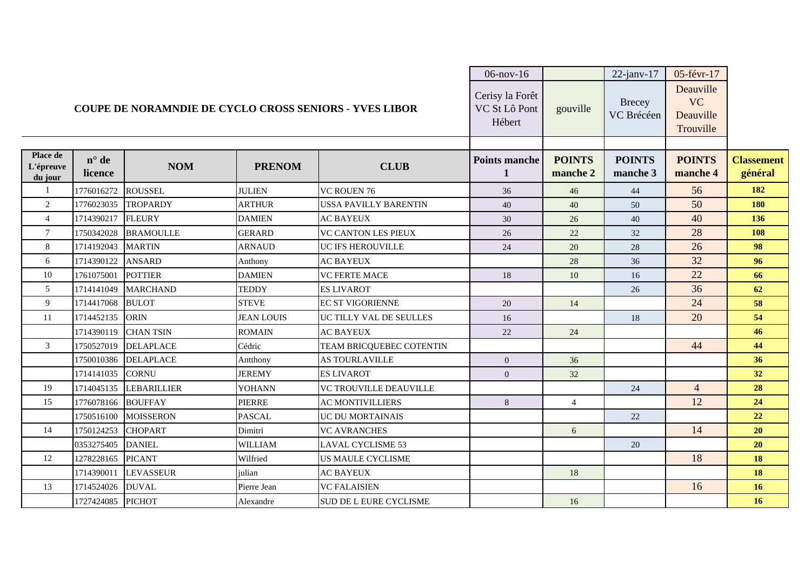|                                                               |                           |                    |                   |                               | $06$ -nov- $16$                            |                           | $22$ -janv-17               | 05-févr-17                                       |                              |
|---------------------------------------------------------------|---------------------------|--------------------|-------------------|-------------------------------|--------------------------------------------|---------------------------|-----------------------------|--------------------------------------------------|------------------------------|
| <b>COUPE DE NORAMNDIE DE CYCLO CROSS SENIORS - YVES LIBOR</b> |                           |                    |                   |                               | Cerisy la Forêt<br>VC St Lô Pont<br>Hébert | gouville                  | <b>Brecey</b><br>VC Brécéen | Deauville<br><b>VC</b><br>Deauville<br>Trouville |                              |
| Place de<br>L'épreuve<br>du jour                              | $n^{\circ}$ de<br>licence | <b>NOM</b>         | <b>PRENOM</b>     | <b>CLUB</b>                   | <b>Points manche</b><br>1                  | <b>POINTS</b><br>manche 2 | <b>POINTS</b><br>manche 3   | <b>POINTS</b><br>manche 4                        | <b>Classement</b><br>général |
|                                                               | 1776016272                | <b>ROUSSEL</b>     | <b>JULIEN</b>     | <b>VC ROUEN 76</b>            | 36                                         | 46                        | 44                          | 56                                               | 182                          |
| 2                                                             | 1776023035                | <b>TROPARDY</b>    | <b>ARTHUR</b>     | <b>USSA PAVILLY BARENTIN</b>  | 40                                         | 40                        | 50                          | 50                                               | 180                          |
| $\overline{4}$                                                | 1714390217                | <b>FLEURY</b>      | <b>DAMIEN</b>     | <b>AC BAYEUX</b>              | 30                                         | 26                        | 40                          | 40                                               | 136                          |
| $\overline{7}$                                                | 1750342028                | <b>BRAMOULLE</b>   | <b>GERARD</b>     | <b>VC CANTON LES PIEUX</b>    | 26                                         | 22                        | 32                          | 28                                               | 108                          |
| 8                                                             | 1714192043                | <b>MARTIN</b>      | <b>ARNAUD</b>     | <b>UC IFS HEROUVILLE</b>      | 24                                         | 20                        | 28                          | 26                                               | 98                           |
| 6                                                             | 1714390122                | <b>ANSARD</b>      | Anthony           | <b>AC BAYEUX</b>              |                                            | 28                        | 36                          | 32                                               | 96                           |
| 10                                                            | 1761075001                | <b>POTTIER</b>     | <b>DAMIEN</b>     | <b>VC FERTE MACE</b>          | 18                                         | 10                        | 16                          | 22                                               | 66                           |
| 5                                                             | 1714141049                | <b>MARCHAND</b>    | <b>TEDDY</b>      | <b>ES LIVAROT</b>             |                                            |                           | 26                          | 36                                               | 62                           |
| 9                                                             | 1714417068                | <b>BULOT</b>       | <b>STEVE</b>      | <b>EC ST VIGORIENNE</b>       | 20                                         | 14                        |                             | 24                                               | 58                           |
| 11                                                            | 1714452135                | <b>ORIN</b>        | <b>JEAN LOUIS</b> | UC TILLY VAL DE SEULLES       | 16                                         |                           | 18                          | 20                                               | 54                           |
|                                                               | 1714390119                | <b>CHAN TSIN</b>   | <b>ROMAIN</b>     | <b>AC BAYEUX</b>              | 22                                         | 24                        |                             |                                                  | 46                           |
| 3                                                             | 1750527019                | <b>DELAPLACE</b>   | Cédric            | TEAM BRICQUEBEC COTENTIN      |                                            |                           |                             | 44                                               | 44                           |
|                                                               | 1750010386                | <b>DELAPLACE</b>   | Antthony          | <b>AS TOURLAVILLE</b>         | $\overline{0}$                             | 36                        |                             |                                                  | 36                           |
|                                                               | 1714141035                | <b>CORNU</b>       | <b>JEREMY</b>     | <b>ES LIVAROT</b>             | $\overline{0}$                             | 32                        |                             |                                                  | 32                           |
| 19                                                            | 1714045135                | <b>LEBARILLIER</b> | YOHANN            | <b>VC TROUVILLE DEAUVILLE</b> |                                            |                           | 24                          | $\overline{4}$                                   | 28                           |
| 15                                                            | 1776078166                | <b>BOUFFAY</b>     | <b>PIERRE</b>     | <b>AC MONTIVILLIERS</b>       | 8                                          | $\overline{4}$            |                             | 12                                               | 24                           |
|                                                               | 1750516100                | <b>MOISSERON</b>   | <b>PASCAL</b>     | <b>UC DU MORTAINAIS</b>       |                                            |                           | 22                          |                                                  | 22                           |
| 14                                                            | 1750124253                | <b>CHOPART</b>     | Dimitri           | <b>VC AVRANCHES</b>           |                                            | 6                         |                             | 14                                               | 20                           |
|                                                               | 0353275405                | <b>DANIEL</b>      | <b>WILLIAM</b>    | <b>LAVAL CYCLISME 53</b>      |                                            |                           | 20                          |                                                  | 20                           |
| 12                                                            | 1278228165                | <b>PICANT</b>      | Wilfried          | <b>US MAULE CYCLISME</b>      |                                            |                           |                             | 18                                               | 18                           |
|                                                               | 1714390011                | <b>LEVASSEUR</b>   | julian            | <b>AC BAYEUX</b>              |                                            | 18                        |                             |                                                  | 18                           |
| 13                                                            | 1714524026                | <b>DUVAL</b>       | Pierre Jean       | <b>VC FALAISIEN</b>           |                                            |                           |                             | 16                                               | 16                           |
|                                                               | 1727424085                | <b>PICHOT</b>      | Alexandre         | SUD DE L EURE CYCLISME        |                                            | 16                        |                             |                                                  | <b>16</b>                    |